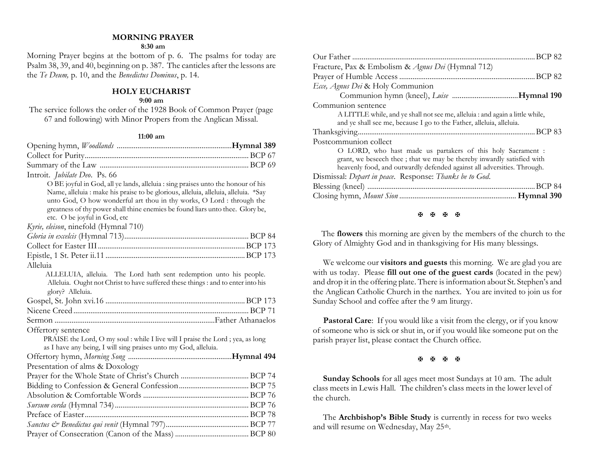# **MORNING PRAYER**

# **8:30 am**

Morning Prayer begins at the bottom of p. 6. The psalms for today are Psalm 38, 39, and 40, beginning on p. 387. The canticles after the lessons are the *Te Deum,* p. 10, and the *Benedictus Dominus*, p. 14.

# **HOLY EUCHARIST**

# **9:00 am**

The service follows the order of the 1928 Book of Common Prayer (page 67 and following) with Minor Propers from the Anglican Missal.

### **11:00 am**

| Introit. <i>Jubilate Deo.</i> Ps. 66                                                                                                                   |
|--------------------------------------------------------------------------------------------------------------------------------------------------------|
| O BE joyful in God, all ye lands, alleluia : sing praises unto the honour of his                                                                       |
| Name, alleluia : make his praise to be glorious, alleluia, alleluia, alleluia. *Say                                                                    |
| unto God, O how wonderful art thou in thy works, O Lord : through the                                                                                  |
| greatness of thy power shall thine enemies be found liars unto thee. Glory be,                                                                         |
| etc. O be joyful in God, etc                                                                                                                           |
| Kyrie, eleison, ninefold (Hymnal 710)                                                                                                                  |
|                                                                                                                                                        |
|                                                                                                                                                        |
|                                                                                                                                                        |
| Alleluia                                                                                                                                               |
| ALLELUIA, alleluia. The Lord hath sent redemption unto his people.<br>Alleluia. Ought not Christ to have suffered these things : and to enter into his |
| glory? Alleluia.                                                                                                                                       |
|                                                                                                                                                        |
|                                                                                                                                                        |
|                                                                                                                                                        |
| Offertory sentence                                                                                                                                     |
| PRAISE the Lord, O my soul : while I live will I praise the Lord ; yea, as long                                                                        |
| as I have any being, I will sing praises unto my God, alleluia.                                                                                        |
|                                                                                                                                                        |
| Presentation of alms & Doxology                                                                                                                        |
|                                                                                                                                                        |
|                                                                                                                                                        |
|                                                                                                                                                        |
|                                                                                                                                                        |
|                                                                                                                                                        |
|                                                                                                                                                        |
|                                                                                                                                                        |

| Fracture, Pax & Embolism & Agnus Dei (Hymnal 712)                             |
|-------------------------------------------------------------------------------|
|                                                                               |
| Ecce, Agnus Dei & Holy Communion                                              |
|                                                                               |
| Communion sentence                                                            |
| A LITTLE while, and ye shall not see me, alleluia : and again a little while, |
| and ye shall see me, because I go to the Father, alleluia, alleluia.          |
|                                                                               |
| Postcommunion collect                                                         |
| O LORD, who hast made us partakers of this holy Sacrament :                   |
| grant, we beseech thee; that we may be thereby inwardly satisfied with        |
| heavenly food, and outwardly defended against all adversities. Through.       |
| Dismissal: Depart in peace. Response: Thanks be to God.                       |
|                                                                               |
|                                                                               |
|                                                                               |

### **K K K K**

 The **flowers** this morning are given by the members of the church to the Glory of Almighty God and in thanksgiving for His many blessings.

We welcome our **visitors and guests** this morning. We are glad you are with us today. Please **fill out one of the guest cards** (located in the pew) and drop it in the offering plate. There is information about St. Stephen's and the Anglican Catholic Church in the narthex. You are invited to join us for Sunday School and coffee after the 9 am liturgy.

**Pastoral Care:** If you would like a visit from the clergy, or if you know of someone who is sick or shut in, or if you would like someone put on the parish prayer list, please contact the Church office.

### **H H H H**

**Sunday Schools** for all ages meet most Sundays at 10 am. The adult class meets in Lewis Hall. The children's class meets in the lower level of the church.

The **Archbishop's Bible Study** is currently in recess for two weeks and will resume on Wednesday, May 25<sup>th</sup>.